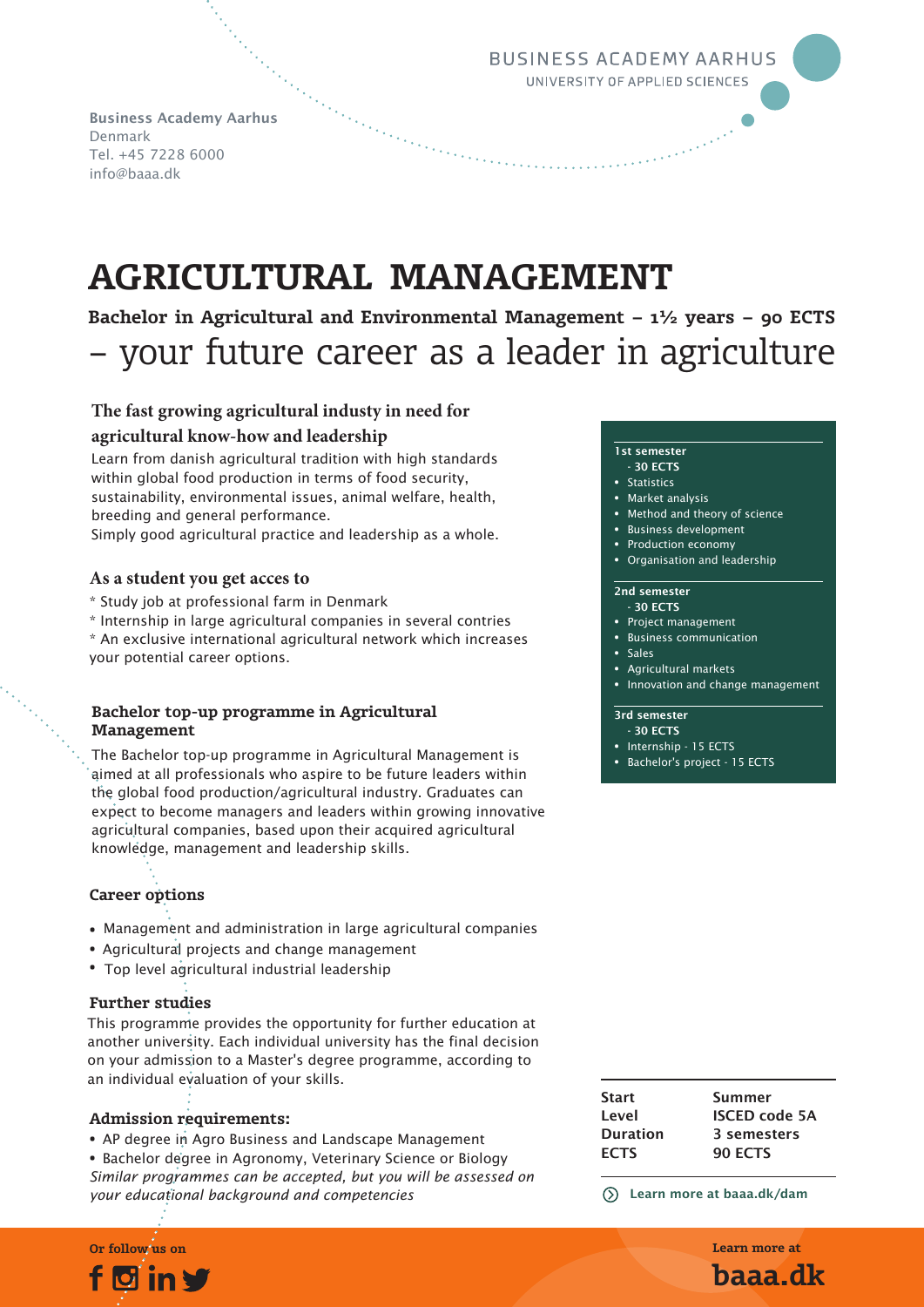**BUSINESS ACADEMY AARHUS** UNIVERSITY OF APPLIED SCIENCES

Business Academy Aarhus Denmark Tel. +45 7228 6000 info@baaa.dk

# **AGRICULTURAL MANAGEMENT**

**Bachelor in Agricultural and Environmental Management – 1½ years – 90 ECTS** – your future career as a leader in agriculture

# **The fast growing agricultural industy in need for agricultural know-how and leadership**

Learn from danish agricultural tradition with high standards within global food production in terms of food security, sustainability, environmental issues, animal welfare, health, breeding and general performance.

Simply good agricultural practice and leadership as a whole.

# **As a student you get acces to**

- \* Study job at professional farm in Denmark
- \* Internship in large agricultural companies in several contries

\* An exclusive international agricultural network which increases your potential career options.

# **Bachelor top-up programme in Agricultural Management**

The Bachelor top-up programme in Agricultural Management is aimed at all professionals who aspire to be future leaders within the global food production/agricultural industry. Graduates can expect to become managers and leaders within growing innovative agricultural companies, based upon their acquired agricultural knowledge, management and leadership skills.

# **Career options**

- Management and administration in large agricultural companies
- Agricultural projects and change management
- Top level agricultural industrial leadership

# **Further studies**

This programme provides the opportunity for further education at another university. Each individual university has the final decision on your admission to a Master's degree programme, according to an individual evaluation of your skills.

## **Admission requirements:**

- AP degree in Agro Business and Landscape Management
- Bachelor degree in Agronomy, Veterinary Science or Biology *Similar programmes can be accepted, but you will be assessed on your educational background and competencies*

# $\blacksquare$

### 1st semester

- 30 ECTS
- **Statistics**
- Market analysis
- Method and theory of science

O

- Business development
- Production economy
- Organisation and leadership

#### 2nd semester - 30 ECTS

- Project management
- Business communication
- Sales
- Agricultural markets
- Innovation and change management

# 3rd semester

- 30 ECTS
- Internship 15 ECTS
- Bachelor's project 15 ECTS

| <b>Start</b><br>Level | Summer<br><b>ISCED code 5A</b> |
|-----------------------|--------------------------------|
| <b>Duration</b>       | 3 semesters                    |
| <b>ECTS</b>           | <b>90 ECTS</b>                 |
|                       |                                |

Learn more at baaa.dk/dam

**Or follow us on Learn more at baaa.dk**